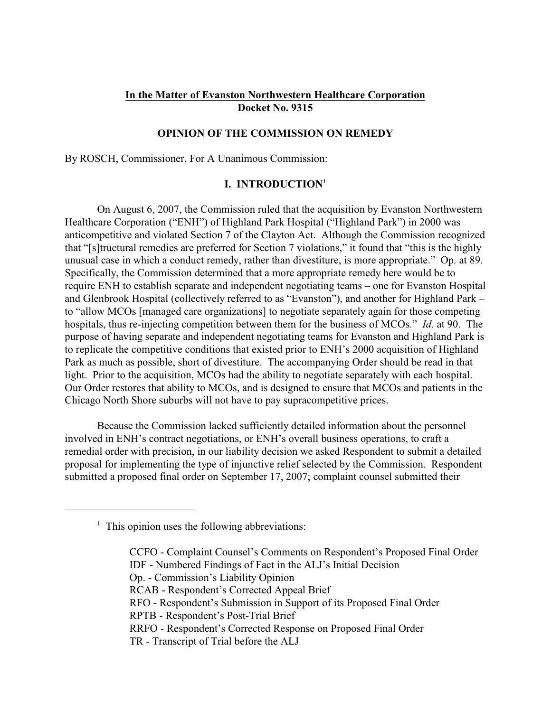# **In the Matter of Evanston Northwestern Healthcare Corporation Docket No. 9315**

## **OPINION OF THE COMMISSION ON REMEDY**

By ROSCH, Commissioner, For A Unanimous Commission:

### **I. INTRODUCTION**<sup>1</sup>

On August 6, 2007, the Commission ruled that the acquisition by Evanston Northwestern Healthcare Corporation ("ENH") of Highland Park Hospital ("Highland Park") in 2000 was anticompetitive and violated Section 7 of the Clayton Act. Although the Commission recognized that "[s]tructural remedies are preferred for Section 7 violations," it found that "this is the highly unusual case in which a conduct remedy, rather than divestiture, is more appropriate." Op. at 89. Specifically, the Commission determined that a more appropriate remedy here would be to require ENH to establish separate and independent negotiating teams – one for Evanston Hospital and Glenbrook Hospital (collectively referred to as "Evanston"), and another for Highland Park – to "allow MCOs [managed care organizations] to negotiate separately again for those competing hospitals, thus re-injecting competition between them for the business of MCOs." *Id.* at 90. The purpose of having separate and independent negotiating teams for Evanston and Highland Park is to replicate the competitive conditions that existed prior to ENH's 2000 acquisition of Highland Park as much as possible, short of divestiture. The accompanying Order should be read in that light. Prior to the acquisition, MCOs had the ability to negotiate separately with each hospital. Our Order restores that ability to MCOs, and is designed to ensure that MCOs and patients in the Chicago North Shore suburbs will not have to pay supracompetitive prices.

Because the Commission lacked sufficiently detailed information about the personnel involved in ENH's contract negotiations, or ENH's overall business operations, to craft a remedial order with precision, in our liability decision we asked Respondent to submit a detailed proposal for implementing the type of injunctive relief selected by the Commission. Respondent submitted a proposed final order on September 17, 2007; complaint counsel submitted their

CCFO - Complaint Counsel's Comments on Respondent's Proposed Final Order IDF - Numbered Findings of Fact in the ALJ's Initial Decision Op. - Commission's Liability Opinion RCAB - Respondent's Corrected Appeal Brief RFO - Respondent's Submission in Support of its Proposed Final Order RPTB - Respondent's Post-Trial Brief RRFO - Respondent's Corrected Response on Proposed Final Order TR - Transcript of Trial before the ALJ

 $<sup>1</sup>$  This opinion uses the following abbreviations:</sup>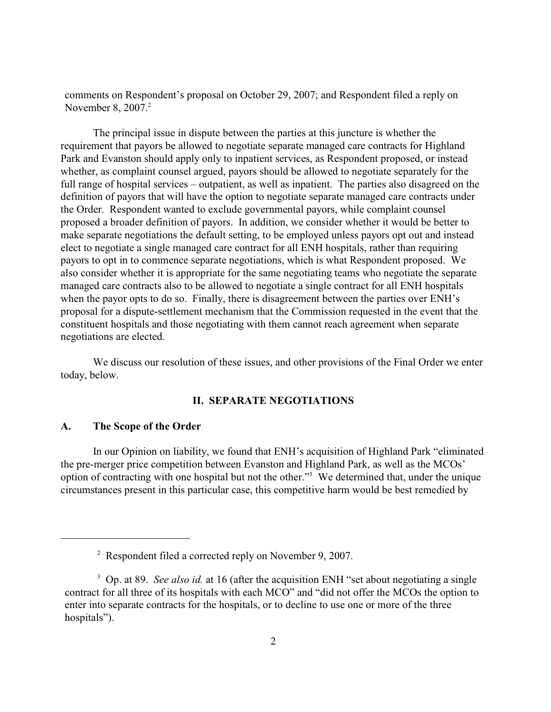comments on Respondent's proposal on October 29, 2007; and Respondent filed a reply on November 8, 2007.<sup>2</sup>

The principal issue in dispute between the parties at this juncture is whether the requirement that payors be allowed to negotiate separate managed care contracts for Highland Park and Evanston should apply only to inpatient services, as Respondent proposed, or instead whether, as complaint counsel argued, payors should be allowed to negotiate separately for the full range of hospital services – outpatient, as well as inpatient. The parties also disagreed on the definition of payors that will have the option to negotiate separate managed care contracts under the Order. Respondent wanted to exclude governmental payors, while complaint counsel proposed a broader definition of payors. In addition, we consider whether it would be better to make separate negotiations the default setting, to be employed unless payors opt out and instead elect to negotiate a single managed care contract for all ENH hospitals, rather than requiring payors to opt in to commence separate negotiations, which is what Respondent proposed. We also consider whether it is appropriate for the same negotiating teams who negotiate the separate managed care contracts also to be allowed to negotiate a single contract for all ENH hospitals when the payor opts to do so. Finally, there is disagreement between the parties over ENH's proposal for a dispute-settlement mechanism that the Commission requested in the event that the constituent hospitals and those negotiating with them cannot reach agreement when separate negotiations are elected.

We discuss our resolution of these issues, and other provisions of the Final Order we enter today, below.

# **II. SEPARATE NEGOTIATIONS**

#### **A. The Scope of the Order**

In our Opinion on liability, we found that ENH's acquisition of Highland Park "eliminated the pre-merger price competition between Evanston and Highland Park, as well as the MCOs' option of contracting with one hospital but not the other."<sup>3</sup> We determined that, under the unique circumstances present in this particular case, this competitive harm would be best remedied by

 $\degree$  Respondent filed a corrected reply on November 9, 2007.

<sup>&</sup>lt;sup>3</sup> Op. at 89. *See also id.* at 16 (after the acquisition ENH "set about negotiating a single contract for all three of its hospitals with each MCO" and "did not offer the MCOs the option to enter into separate contracts for the hospitals, or to decline to use one or more of the three hospitals").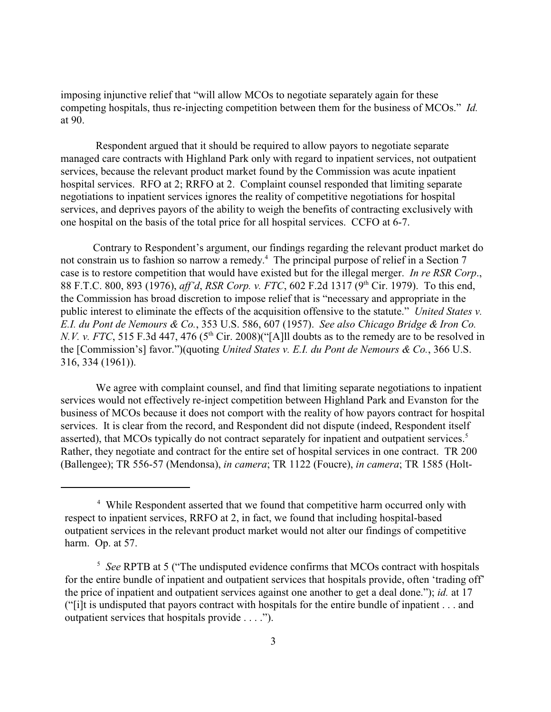imposing injunctive relief that "will allow MCOs to negotiate separately again for these competing hospitals, thus re-injecting competition between them for the business of MCOs." *Id.* at 90.

 Respondent argued that it should be required to allow payors to negotiate separate managed care contracts with Highland Park only with regard to inpatient services, not outpatient services, because the relevant product market found by the Commission was acute inpatient hospital services. RFO at 2; RRFO at 2. Complaint counsel responded that limiting separate negotiations to inpatient services ignores the reality of competitive negotiations for hospital services, and deprives payors of the ability to weigh the benefits of contracting exclusively with one hospital on the basis of the total price for all hospital services. CCFO at 6-7.

Contrary to Respondent's argument, our findings regarding the relevant product market do not constrain us to fashion so narrow a remedy.<sup>4</sup> The principal purpose of relief in a Section 7 case is to restore competition that would have existed but for the illegal merger. *In re RSR Corp*., 88 F.T.C. 800, 893 (1976), *aff'd*, *RSR Corp. v. FTC*, 602 F.2d 1317 (9<sup>th</sup> Cir. 1979). To this end, the Commission has broad discretion to impose relief that is "necessary and appropriate in the public interest to eliminate the effects of the acquisition offensive to the statute." *United States v. E.I. du Pont de Nemours & Co.*, 353 U.S. 586, 607 (1957). *See also Chicago Bridge & Iron Co. N.V. v. FTC*, 515 F.3d 447, 476 ( $5<sup>th</sup>$  Cir. 2008)("[A]ll doubts as to the remedy are to be resolved in the [Commission's] favor.")(quoting *United States v. E.I. du Pont de Nemours & Co.*, 366 U.S. 316, 334 (1961)).

 We agree with complaint counsel, and find that limiting separate negotiations to inpatient services would not effectively re-inject competition between Highland Park and Evanston for the business of MCOs because it does not comport with the reality of how payors contract for hospital services. It is clear from the record, and Respondent did not dispute (indeed, Respondent itself asserted), that MCOs typically do not contract separately for inpatient and outpatient services.<sup>5</sup> Rather, they negotiate and contract for the entire set of hospital services in one contract. TR 200 (Ballengee); TR 556-57 (Mendonsa), *in camera*; TR 1122 (Foucre), *in camera*; TR 1585 (Holt-

<sup>&</sup>lt;sup>4</sup> While Respondent asserted that we found that competitive harm occurred only with respect to inpatient services, RRFO at 2, in fact, we found that including hospital-based outpatient services in the relevant product market would not alter our findings of competitive harm. Op. at 57.

<sup>&</sup>lt;sup>5</sup> See RPTB at 5 ("The undisputed evidence confirms that MCOs contract with hospitals for the entire bundle of inpatient and outpatient services that hospitals provide, often 'trading off' the price of inpatient and outpatient services against one another to get a deal done."); *id.* at 17 ("[i]t is undisputed that payors contract with hospitals for the entire bundle of inpatient . . . and outpatient services that hospitals provide . . . .").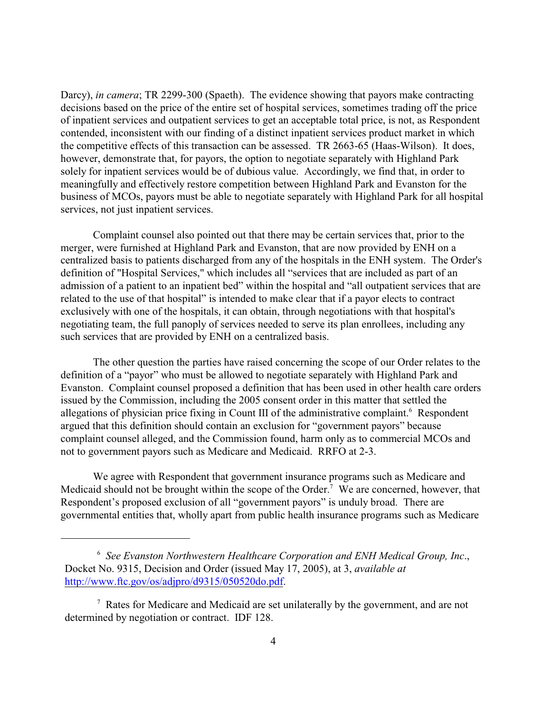Darcy), *in camera*; TR 2299-300 (Spaeth). The evidence showing that payors make contracting decisions based on the price of the entire set of hospital services, sometimes trading off the price of inpatient services and outpatient services to get an acceptable total price, is not, as Respondent contended, inconsistent with our finding of a distinct inpatient services product market in which the competitive effects of this transaction can be assessed. TR 2663-65 (Haas-Wilson). It does, however, demonstrate that, for payors, the option to negotiate separately with Highland Park solely for inpatient services would be of dubious value. Accordingly, we find that, in order to meaningfully and effectively restore competition between Highland Park and Evanston for the business of MCOs, payors must be able to negotiate separately with Highland Park for all hospital services, not just inpatient services.

Complaint counsel also pointed out that there may be certain services that, prior to the merger, were furnished at Highland Park and Evanston, that are now provided by ENH on a centralized basis to patients discharged from any of the hospitals in the ENH system. The Order's definition of "Hospital Services," which includes all "services that are included as part of an admission of a patient to an inpatient bed" within the hospital and "all outpatient services that are related to the use of that hospital" is intended to make clear that if a payor elects to contract exclusively with one of the hospitals, it can obtain, through negotiations with that hospital's negotiating team, the full panoply of services needed to serve its plan enrollees, including any such services that are provided by ENH on a centralized basis.

The other question the parties have raised concerning the scope of our Order relates to the definition of a "payor" who must be allowed to negotiate separately with Highland Park and Evanston. Complaint counsel proposed a definition that has been used in other health care orders issued by the Commission, including the 2005 consent order in this matter that settled the allegations of physician price fixing in Count III of the administrative complaint.<sup>6</sup> Respondent argued that this definition should contain an exclusion for "government payors" because complaint counsel alleged, and the Commission found, harm only as to commercial MCOs and not to government payors such as Medicare and Medicaid. RRFO at 2-3.

We agree with Respondent that government insurance programs such as Medicare and Medicaid should not be brought within the scope of the Order.<sup>7</sup> We are concerned, however, that Respondent's proposed exclusion of all "government payors" is unduly broad. There are governmental entities that, wholly apart from public health insurance programs such as Medicare

<sup>&</sup>lt;sup>6</sup> See Evanston Northwestern Healthcare Corporation and ENH Medical Group, Inc., Docket No. 9315, Decision and Order (issued May 17, 2005), at 3, *available at* http://www.ftc.gov/os/adjpro/d9315/050520do.pdf.

 $\alpha$ <sup>7</sup> Rates for Medicare and Medicaid are set unilaterally by the government, and are not determined by negotiation or contract. IDF 128.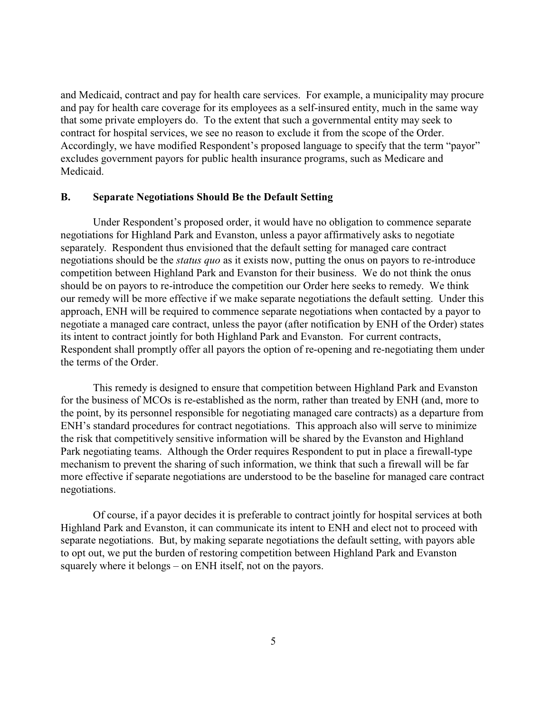and Medicaid, contract and pay for health care services. For example, a municipality may procure and pay for health care coverage for its employees as a self-insured entity, much in the same way that some private employers do. To the extent that such a governmental entity may seek to contract for hospital services, we see no reason to exclude it from the scope of the Order. Accordingly, we have modified Respondent's proposed language to specify that the term "payor" excludes government payors for public health insurance programs, such as Medicare and Medicaid.

#### **B. Separate Negotiations Should Be the Default Setting**

Under Respondent's proposed order, it would have no obligation to commence separate negotiations for Highland Park and Evanston, unless a payor affirmatively asks to negotiate separately. Respondent thus envisioned that the default setting for managed care contract negotiations should be the *status quo* as it exists now, putting the onus on payors to re-introduce competition between Highland Park and Evanston for their business. We do not think the onus should be on payors to re-introduce the competition our Order here seeks to remedy. We think our remedy will be more effective if we make separate negotiations the default setting. Under this approach, ENH will be required to commence separate negotiations when contacted by a payor to negotiate a managed care contract, unless the payor (after notification by ENH of the Order) states its intent to contract jointly for both Highland Park and Evanston. For current contracts, Respondent shall promptly offer all payors the option of re-opening and re-negotiating them under the terms of the Order.

This remedy is designed to ensure that competition between Highland Park and Evanston for the business of MCOs is re-established as the norm, rather than treated by ENH (and, more to the point, by its personnel responsible for negotiating managed care contracts) as a departure from ENH's standard procedures for contract negotiations. This approach also will serve to minimize the risk that competitively sensitive information will be shared by the Evanston and Highland Park negotiating teams. Although the Order requires Respondent to put in place a firewall-type mechanism to prevent the sharing of such information, we think that such a firewall will be far more effective if separate negotiations are understood to be the baseline for managed care contract negotiations.

Of course, if a payor decides it is preferable to contract jointly for hospital services at both Highland Park and Evanston, it can communicate its intent to ENH and elect not to proceed with separate negotiations. But, by making separate negotiations the default setting, with payors able to opt out, we put the burden of restoring competition between Highland Park and Evanston squarely where it belongs – on ENH itself, not on the payors.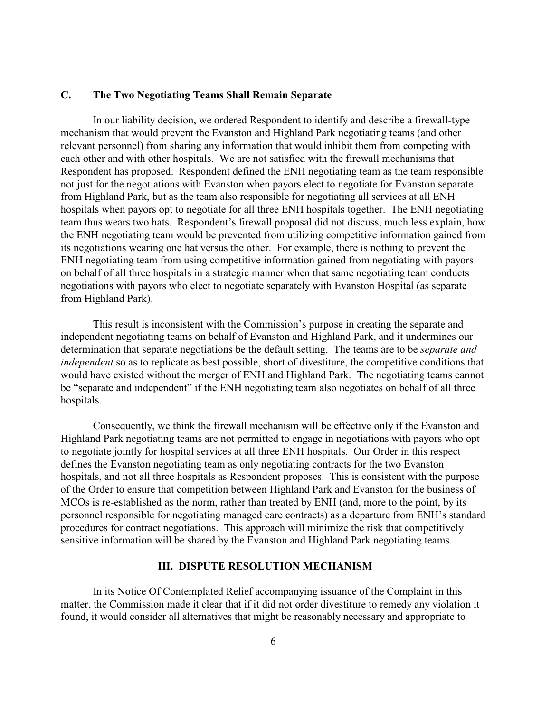# **C. The Two Negotiating Teams Shall Remain Separate**

In our liability decision, we ordered Respondent to identify and describe a firewall-type mechanism that would prevent the Evanston and Highland Park negotiating teams (and other relevant personnel) from sharing any information that would inhibit them from competing with each other and with other hospitals. We are not satisfied with the firewall mechanisms that Respondent has proposed. Respondent defined the ENH negotiating team as the team responsible not just for the negotiations with Evanston when payors elect to negotiate for Evanston separate from Highland Park, but as the team also responsible for negotiating all services at all ENH hospitals when payors opt to negotiate for all three ENH hospitals together. The ENH negotiating team thus wears two hats. Respondent's firewall proposal did not discuss, much less explain, how the ENH negotiating team would be prevented from utilizing competitive information gained from its negotiations wearing one hat versus the other. For example, there is nothing to prevent the ENH negotiating team from using competitive information gained from negotiating with payors on behalf of all three hospitals in a strategic manner when that same negotiating team conducts negotiations with payors who elect to negotiate separately with Evanston Hospital (as separate from Highland Park).

This result is inconsistent with the Commission's purpose in creating the separate and independent negotiating teams on behalf of Evanston and Highland Park, and it undermines our determination that separate negotiations be the default setting. The teams are to be *separate and independent* so as to replicate as best possible, short of divestiture, the competitive conditions that would have existed without the merger of ENH and Highland Park. The negotiating teams cannot be "separate and independent" if the ENH negotiating team also negotiates on behalf of all three hospitals.

Consequently, we think the firewall mechanism will be effective only if the Evanston and Highland Park negotiating teams are not permitted to engage in negotiations with payors who opt to negotiate jointly for hospital services at all three ENH hospitals. Our Order in this respect defines the Evanston negotiating team as only negotiating contracts for the two Evanston hospitals, and not all three hospitals as Respondent proposes. This is consistent with the purpose of the Order to ensure that competition between Highland Park and Evanston for the business of MCOs is re-established as the norm, rather than treated by ENH (and, more to the point, by its personnel responsible for negotiating managed care contracts) as a departure from ENH's standard procedures for contract negotiations. This approach will minimize the risk that competitively sensitive information will be shared by the Evanston and Highland Park negotiating teams.

### **III. DISPUTE RESOLUTION MECHANISM**

In its Notice Of Contemplated Relief accompanying issuance of the Complaint in this matter, the Commission made it clear that if it did not order divestiture to remedy any violation it found, it would consider all alternatives that might be reasonably necessary and appropriate to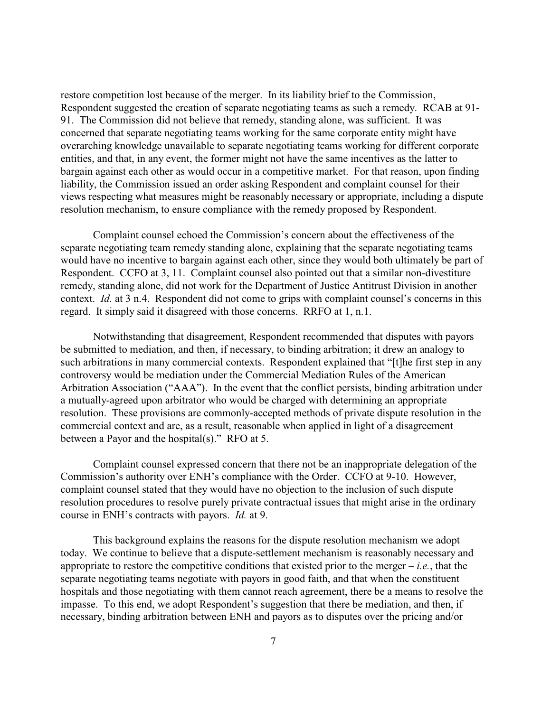restore competition lost because of the merger. In its liability brief to the Commission, Respondent suggested the creation of separate negotiating teams as such a remedy. RCAB at 91- 91. The Commission did not believe that remedy, standing alone, was sufficient. It was concerned that separate negotiating teams working for the same corporate entity might have overarching knowledge unavailable to separate negotiating teams working for different corporate entities, and that, in any event, the former might not have the same incentives as the latter to bargain against each other as would occur in a competitive market. For that reason, upon finding liability, the Commission issued an order asking Respondent and complaint counsel for their views respecting what measures might be reasonably necessary or appropriate, including a dispute resolution mechanism, to ensure compliance with the remedy proposed by Respondent.

Complaint counsel echoed the Commission's concern about the effectiveness of the separate negotiating team remedy standing alone, explaining that the separate negotiating teams would have no incentive to bargain against each other, since they would both ultimately be part of Respondent. CCFO at 3, 11. Complaint counsel also pointed out that a similar non-divestiture remedy, standing alone, did not work for the Department of Justice Antitrust Division in another context. *Id.* at 3 n.4. Respondent did not come to grips with complaint counsel's concerns in this regard. It simply said it disagreed with those concerns. RRFO at 1, n.1.

Notwithstanding that disagreement, Respondent recommended that disputes with payors be submitted to mediation, and then, if necessary, to binding arbitration; it drew an analogy to such arbitrations in many commercial contexts. Respondent explained that "[t]he first step in any controversy would be mediation under the Commercial Mediation Rules of the American Arbitration Association ("AAA"). In the event that the conflict persists, binding arbitration under a mutually-agreed upon arbitrator who would be charged with determining an appropriate resolution. These provisions are commonly-accepted methods of private dispute resolution in the commercial context and are, as a result, reasonable when applied in light of a disagreement between a Payor and the hospital(s)." RFO at 5.

Complaint counsel expressed concern that there not be an inappropriate delegation of the Commission's authority over ENH's compliance with the Order. CCFO at 9-10. However, complaint counsel stated that they would have no objection to the inclusion of such dispute resolution procedures to resolve purely private contractual issues that might arise in the ordinary course in ENH's contracts with payors. *Id.* at 9.

This background explains the reasons for the dispute resolution mechanism we adopt today. We continue to believe that a dispute-settlement mechanism is reasonably necessary and appropriate to restore the competitive conditions that existed prior to the merger  $-i.e.,$  that the separate negotiating teams negotiate with payors in good faith, and that when the constituent hospitals and those negotiating with them cannot reach agreement, there be a means to resolve the impasse. To this end, we adopt Respondent's suggestion that there be mediation, and then, if necessary, binding arbitration between ENH and payors as to disputes over the pricing and/or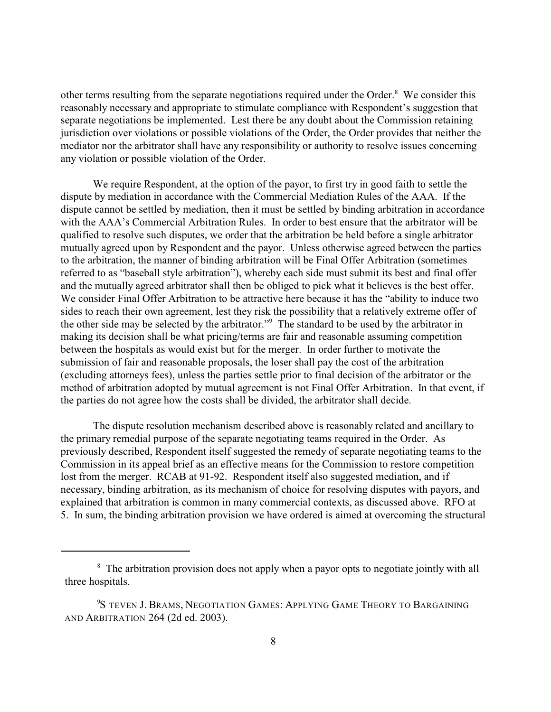other terms resulting from the separate negotiations required under the Order. $8\text{ }$  We consider this reasonably necessary and appropriate to stimulate compliance with Respondent's suggestion that separate negotiations be implemented. Lest there be any doubt about the Commission retaining jurisdiction over violations or possible violations of the Order, the Order provides that neither the mediator nor the arbitrator shall have any responsibility or authority to resolve issues concerning any violation or possible violation of the Order.

We require Respondent, at the option of the payor, to first try in good faith to settle the dispute by mediation in accordance with the Commercial Mediation Rules of the AAA. If the dispute cannot be settled by mediation, then it must be settled by binding arbitration in accordance with the AAA's Commercial Arbitration Rules. In order to best ensure that the arbitrator will be qualified to resolve such disputes, we order that the arbitration be held before a single arbitrator mutually agreed upon by Respondent and the payor. Unless otherwise agreed between the parties to the arbitration, the manner of binding arbitration will be Final Offer Arbitration (sometimes referred to as "baseball style arbitration"), whereby each side must submit its best and final offer and the mutually agreed arbitrator shall then be obliged to pick what it believes is the best offer. We consider Final Offer Arbitration to be attractive here because it has the "ability to induce two sides to reach their own agreement, lest they risk the possibility that a relatively extreme offer of the other side may be selected by the arbitrator."<sup>9</sup> The standard to be used by the arbitrator in making its decision shall be what pricing/terms are fair and reasonable assuming competition between the hospitals as would exist but for the merger. In order further to motivate the submission of fair and reasonable proposals, the loser shall pay the cost of the arbitration (excluding attorneys fees), unless the parties settle prior to final decision of the arbitrator or the method of arbitration adopted by mutual agreement is not Final Offer Arbitration. In that event, if the parties do not agree how the costs shall be divided, the arbitrator shall decide.

The dispute resolution mechanism described above is reasonably related and ancillary to the primary remedial purpose of the separate negotiating teams required in the Order. As previously described, Respondent itself suggested the remedy of separate negotiating teams to the Commission in its appeal brief as an effective means for the Commission to restore competition lost from the merger. RCAB at 91-92. Respondent itself also suggested mediation, and if necessary, binding arbitration, as its mechanism of choice for resolving disputes with payors, and explained that arbitration is common in many commercial contexts, as discussed above. RFO at 5. In sum, the binding arbitration provision we have ordered is aimed at overcoming the structural

<sup>&</sup>lt;sup>8</sup> The arbitration provision does not apply when a payor opts to negotiate jointly with all three hospitals.

<sup>&</sup>lt;sup>9</sup>S TEVEN J. BRAMS, NEGOTIATION GAMES: APPLYING GAME THEORY TO BARGAINING AND ARBITRATION 264 (2d ed. 2003).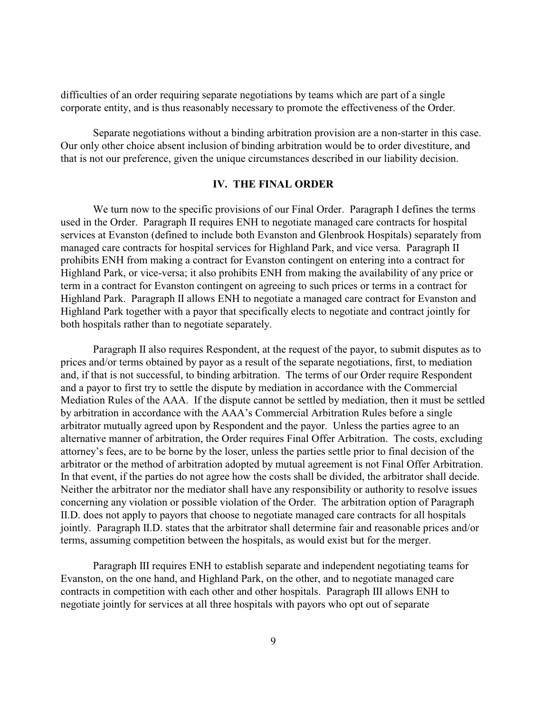difficulties of an order requiring separate negotiations by teams which are part of a single corporate entity, and is thus reasonably necessary to promote the effectiveness of the Order.

Separate negotiations without a binding arbitration provision are a non-starter in this case. Our only other choice absent inclusion of binding arbitration would be to order divestiture, and that is not our preference, given the unique circumstances described in our liability decision.

### **IV. THE FINAL ORDER**

We turn now to the specific provisions of our Final Order. Paragraph I defines the terms used in the Order. Paragraph II requires ENH to negotiate managed care contracts for hospital services at Evanston (defined to include both Evanston and Glenbrook Hospitals) separately from managed care contracts for hospital services for Highland Park, and vice versa. Paragraph II prohibits ENH from making a contract for Evanston contingent on entering into a contract for Highland Park, or vice-versa; it also prohibits ENH from making the availability of any price or term in a contract for Evanston contingent on agreeing to such prices or terms in a contract for Highland Park. Paragraph II allows ENH to negotiate a managed care contract for Evanston and Highland Park together with a payor that specifically elects to negotiate and contract jointly for both hospitals rather than to negotiate separately.

Paragraph II also requires Respondent, at the request of the payor, to submit disputes as to prices and/or terms obtained by payor as a result of the separate negotiations, first, to mediation and, if that is not successful, to binding arbitration. The terms of our Order require Respondent and a payor to first try to settle the dispute by mediation in accordance with the Commercial Mediation Rules of the AAA. If the dispute cannot be settled by mediation, then it must be settled by arbitration in accordance with the AAA's Commercial Arbitration Rules before a single arbitrator mutually agreed upon by Respondent and the payor. Unless the parties agree to an alternative manner of arbitration, the Order requires Final Offer Arbitration. The costs, excluding attorney's fees, are to be borne by the loser, unless the parties settle prior to final decision of the arbitrator or the method of arbitration adopted by mutual agreement is not Final Offer Arbitration. In that event, if the parties do not agree how the costs shall be divided, the arbitrator shall decide. Neither the arbitrator nor the mediator shall have any responsibility or authority to resolve issues concerning any violation or possible violation of the Order. The arbitration option of Paragraph II.D. does not apply to payors that choose to negotiate managed care contracts for all hospitals jointly. Paragraph II.D. states that the arbitrator shall determine fair and reasonable prices and/or terms, assuming competition between the hospitals, as would exist but for the merger.

Paragraph III requires ENH to establish separate and independent negotiating teams for Evanston, on the one hand, and Highland Park, on the other, and to negotiate managed care contracts in competition with each other and other hospitals. Paragraph III allows ENH to negotiate jointly for services at all three hospitals with payors who opt out of separate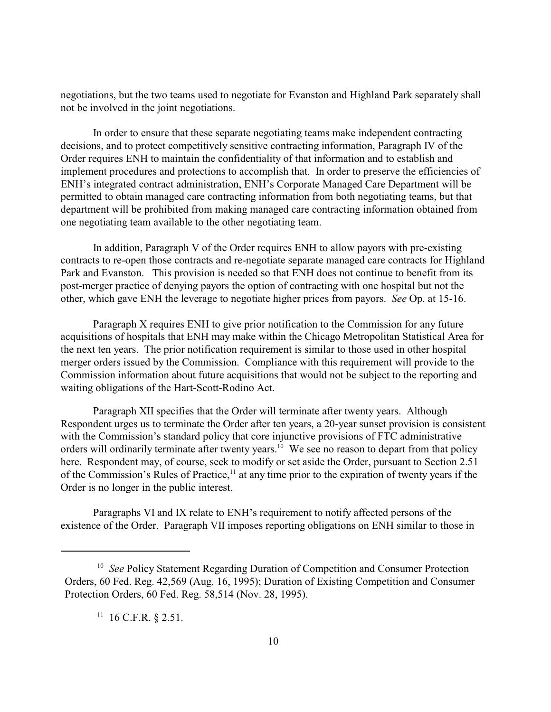negotiations, but the two teams used to negotiate for Evanston and Highland Park separately shall not be involved in the joint negotiations.

In order to ensure that these separate negotiating teams make independent contracting decisions, and to protect competitively sensitive contracting information, Paragraph IV of the Order requires ENH to maintain the confidentiality of that information and to establish and implement procedures and protections to accomplish that. In order to preserve the efficiencies of ENH's integrated contract administration, ENH's Corporate Managed Care Department will be permitted to obtain managed care contracting information from both negotiating teams, but that department will be prohibited from making managed care contracting information obtained from one negotiating team available to the other negotiating team.

In addition, Paragraph V of the Order requires ENH to allow payors with pre-existing contracts to re-open those contracts and re-negotiate separate managed care contracts for Highland Park and Evanston. This provision is needed so that ENH does not continue to benefit from its post-merger practice of denying payors the option of contracting with one hospital but not the other, which gave ENH the leverage to negotiate higher prices from payors. *See* Op. at 15-16.

Paragraph X requires ENH to give prior notification to the Commission for any future acquisitions of hospitals that ENH may make within the Chicago Metropolitan Statistical Area for the next ten years. The prior notification requirement is similar to those used in other hospital merger orders issued by the Commission. Compliance with this requirement will provide to the Commission information about future acquisitions that would not be subject to the reporting and waiting obligations of the Hart-Scott-Rodino Act.

Paragraph XII specifies that the Order will terminate after twenty years. Although Respondent urges us to terminate the Order after ten years, a 20-year sunset provision is consistent with the Commission's standard policy that core injunctive provisions of FTC administrative orders will ordinarily terminate after twenty years.<sup>10</sup> We see no reason to depart from that policy here. Respondent may, of course, seek to modify or set aside the Order, pursuant to Section 2.51 of the Commission's Rules of Practice, $\frac{1}{1}$  at any time prior to the expiration of twenty years if the Order is no longer in the public interest.

Paragraphs VI and IX relate to ENH's requirement to notify affected persons of the existence of the Order. Paragraph VII imposes reporting obligations on ENH similar to those in

 $11$  16 C.F.R. § 2.51.

<sup>&</sup>lt;sup>10</sup> See Policy Statement Regarding Duration of Competition and Consumer Protection Orders, 60 Fed. Reg. 42,569 (Aug. 16, 1995); Duration of Existing Competition and Consumer Protection Orders, 60 Fed. Reg. 58,514 (Nov. 28, 1995).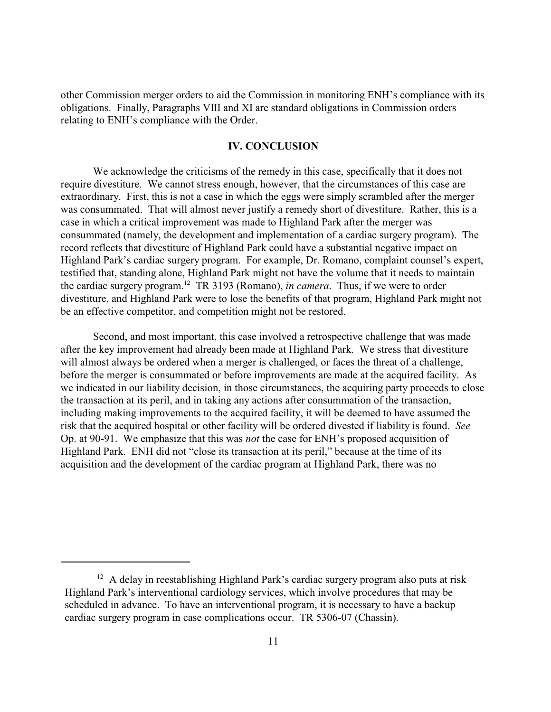other Commission merger orders to aid the Commission in monitoring ENH's compliance with its obligations. Finally, Paragraphs VIII and XI are standard obligations in Commission orders relating to ENH's compliance with the Order.

### **IV. CONCLUSION**

We acknowledge the criticisms of the remedy in this case, specifically that it does not require divestiture. We cannot stress enough, however, that the circumstances of this case are extraordinary. First, this is not a case in which the eggs were simply scrambled after the merger was consummated. That will almost never justify a remedy short of divestiture. Rather, this is a case in which a critical improvement was made to Highland Park after the merger was consummated (namely, the development and implementation of a cardiac surgery program). The record reflects that divestiture of Highland Park could have a substantial negative impact on Highland Park's cardiac surgery program. For example, Dr. Romano, complaint counsel's expert, testified that, standing alone, Highland Park might not have the volume that it needs to maintain the cardiac surgery program.<sup>12</sup> TR 3193 (Romano), *in camera*. Thus, if we were to order divestiture, and Highland Park were to lose the benefits of that program, Highland Park might not be an effective competitor, and competition might not be restored.

Second, and most important, this case involved a retrospective challenge that was made after the key improvement had already been made at Highland Park. We stress that divestiture will almost always be ordered when a merger is challenged, or faces the threat of a challenge, before the merger is consummated or before improvements are made at the acquired facility. As we indicated in our liability decision, in those circumstances, the acquiring party proceeds to close the transaction at its peril, and in taking any actions after consummation of the transaction, including making improvements to the acquired facility, it will be deemed to have assumed the risk that the acquired hospital or other facility will be ordered divested if liability is found. *See* Op. at 90-91. We emphasize that this was *not* the case for ENH's proposed acquisition of Highland Park. ENH did not "close its transaction at its peril," because at the time of its acquisition and the development of the cardiac program at Highland Park, there was no

 $12$  A delay in reestablishing Highland Park's cardiac surgery program also puts at risk Highland Park's interventional cardiology services, which involve procedures that may be scheduled in advance. To have an interventional program, it is necessary to have a backup cardiac surgery program in case complications occur. TR 5306-07 (Chassin).